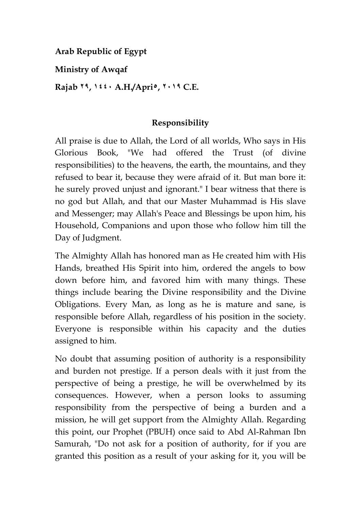**Arab Republic of Egypt** 

**Ministry of Awqaf** 

**Rajab 92, 0441 A.H./Apri5, 9102 C.E.** 

## **Responsibility**

All praise is due to Allah, the Lord of all worlds, Who says in His Glorious Book, "We had offered the Trust (of divine responsibilities) to the heavens, the earth, the mountains, and they refused to bear it, because they were afraid of it. But man bore it: he surely proved unjust and ignorant." I bear witness that there is no god but Allah, and that our Master Muhammad is His slave and Messenger; may Allah's Peace and Blessings be upon him, his Household, Companions and upon those who follow him till the Day of Judgment.

The Almighty Allah has honored man as He created him with His Hands, breathed His Spirit into him, ordered the angels to bow down before him, and favored him with many things. These things include bearing the Divine responsibility and the Divine Obligations. Every Man, as long as he is mature and sane, is responsible before Allah, regardless of his position in the society. Everyone is responsible within his capacity and the duties assigned to him.

No doubt that assuming position of authority is a responsibility and burden not prestige. If a person deals with it just from the perspective of being a prestige, he will be overwhelmed by its consequences. However, when a person looks to assuming responsibility from the perspective of being a burden and a mission, he will get support from the Almighty Allah. Regarding this point, our Prophet (PBUH) once said to Abd Al-Rahman Ibn Samurah, "Do not ask for a position of authority, for if you are granted this position as a result of your asking for it, you will be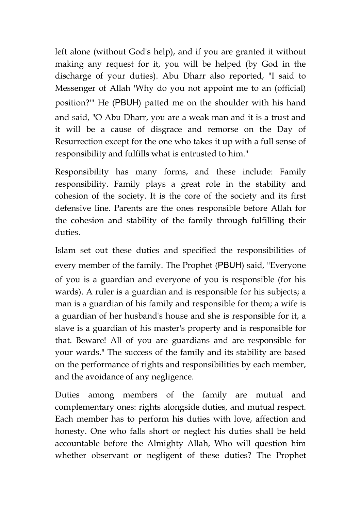left alone (without God's help), and if you are granted it without making any request for it, you will be helped (by God in the discharge of your duties). Abu Dharr also reported, "I said to Messenger of Allah 'Why do you not appoint me to an (official) position?'" He (PBUH) patted me on the shoulder with his hand and said, "O Abu Dharr, you are a weak man and it is a trust and it will be a cause of disgrace and remorse on the Day of Resurrection except for the one who takes it up with a full sense of responsibility and fulfills what is entrusted to him."

Responsibility has many forms, and these include: Family responsibility. Family plays a great role in the stability and cohesion of the society. It is the core of the society and its first defensive line. Parents are the ones responsible before Allah for the cohesion and stability of the family through fulfilling their duties.

Islam set out these duties and specified the responsibilities of every member of the family. The Prophet (PBUH) said, "Everyone of you is a guardian and everyone of you is responsible (for his wards). A ruler is a guardian and is responsible for his subjects; a man is a guardian of his family and responsible for them; a wife is a guardian of her husband's house and she is responsible for it, a slave is a guardian of his master's property and is responsible for that. Beware! All of you are guardians and are responsible for your wards." The success of the family and its stability are based on the performance of rights and responsibilities by each member, and the avoidance of any negligence.

Duties among members of the family are mutual and complementary ones: rights alongside duties, and mutual respect. Each member has to perform his duties with love, affection and honesty. One who falls short or neglect his duties shall be held accountable before the Almighty Allah, Who will question him whether observant or negligent of these duties? The Prophet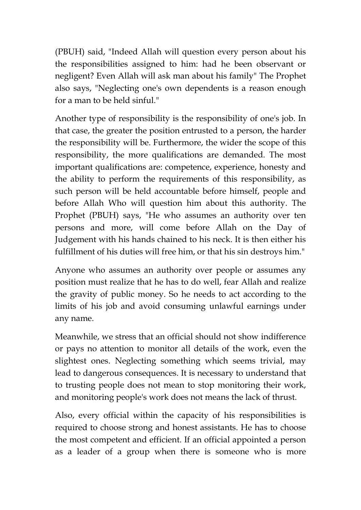(PBUH) said, "Indeed Allah will question every person about his the responsibilities assigned to him: had he been observant or negligent? Even Allah will ask man about his family" The Prophet also says, "Neglecting one's own dependents is a reason enough for a man to be held sinful."

Another type of responsibility is the responsibility of one's job. In that case, the greater the position entrusted to a person, the harder the responsibility will be. Furthermore, the wider the scope of this responsibility, the more qualifications are demanded. The most important qualifications are: competence, experience, honesty and the ability to perform the requirements of this responsibility, as such person will be held accountable before himself, people and before Allah Who will question him about this authority. The Prophet (PBUH) says, "He who assumes an authority over ten persons and more, will come before Allah on the Day of Judgement with his hands chained to his neck. It is then either his fulfillment of his duties will free him, or that his sin destroys him."

Anyone who assumes an authority over people or assumes any position must realize that he has to do well, fear Allah and realize the gravity of public money. So he needs to act according to the limits of his job and avoid consuming unlawful earnings under any name.

Meanwhile, we stress that an official should not show indifference or pays no attention to monitor all details of the work, even the slightest ones. Neglecting something which seems trivial, may lead to dangerous consequences. It is necessary to understand that to trusting people does not mean to stop monitoring their work, and monitoring people's work does not means the lack of thrust.

Also, every official within the capacity of his responsibilities is required to choose strong and honest assistants. He has to choose the most competent and efficient. If an official appointed a person as a leader of a group when there is someone who is more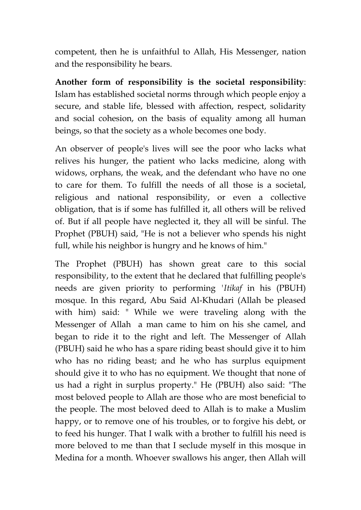competent, then he is unfaithful to Allah, His Messenger, nation and the responsibility he bears.

**Another form of responsibility is the societal responsibility**: Islam has established societal norms through which people enjoy a secure, and stable life, blessed with affection, respect, solidarity and social cohesion, on the basis of equality among all human beings, so that the society as a whole becomes one body.

An observer of people's lives will see the poor who lacks what relives his hunger, the patient who lacks medicine, along with widows, orphans, the weak, and the defendant who have no one to care for them. To fulfill the needs of all those is a societal, religious and national responsibility, or even a collective obligation, that is if some has fulfilled it, all others will be relived of. But if all people have neglected it, they all will be sinful. The Prophet (PBUH) said, "He is not a believer who spends his night full, while his neighbor is hungry and he knows of him."

The Prophet (PBUH) has shown great care to this social responsibility, to the extent that he declared that fulfilling people's needs are given priority to performing *'Itikaf* in his (PBUH) mosque. In this regard, Abu Said Al-Khudari (Allah be pleased with him) said: " While we were traveling along with the Messenger of Allah a man came to him on his she camel, and began to ride it to the right and left. The Messenger of Allah (PBUH) said he who has a spare riding beast should give it to him who has no riding beast; and he who has surplus equipment should give it to who has no equipment. We thought that none of us had a right in surplus property." He (PBUH) also said: "The most beloved people to Allah are those who are most beneficial to the people. The most beloved deed to Allah is to make a Muslim happy, or to remove one of his troubles, or to forgive his debt, or to feed his hunger. That I walk with a brother to fulfill his need is more beloved to me than that I seclude myself in this mosque in Medina for a month. Whoever swallows his anger, then Allah will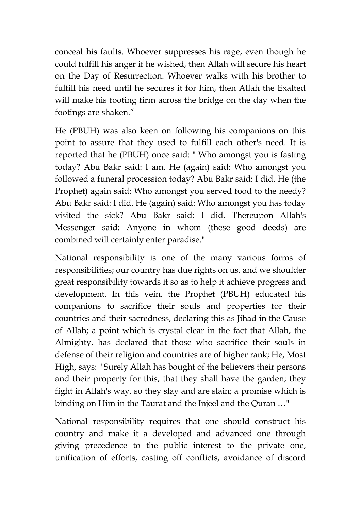conceal his faults. Whoever suppresses his rage, even though he could fulfill his anger if he wished, then Allah will secure his heart on the Day of Resurrection. Whoever walks with his brother to fulfill his need until he secures it for him, then Allah the Exalted will make his footing firm across the bridge on the day when the footings are shaken."

He (PBUH) was also keen on following his companions on this point to assure that they used to fulfill each other's need. It is reported that he (PBUH) once said: " Who amongst you is fasting today? Abu Bakr said: I am. He (again) said: Who amongst you followed a funeral procession today? Abu Bakr said: I did. He (the Prophet) again said: Who amongst you served food to the needy? Abu Bakr said: I did. He (again) said: Who amongst you has today visited the sick? Abu Bakr said: I did. Thereupon Allah's Messenger said: Anyone in whom (these good deeds) are combined will certainly enter paradise."

National responsibility is one of the many various forms of responsibilities; our country has due rights on us, and we shoulder great responsibility towards it so as to help it achieve progress and development. In this vein, the Prophet (PBUH) educated his companions to sacrifice their souls and properties for their countries and their sacredness, declaring this as Jihad in the Cause of Allah; a point which is crystal clear in the fact that Allah, the Almighty, has declared that those who sacrifice their souls in defense of their religion and countries are of higher rank; He, Most High, says: " Surely Allah has bought of the believers their persons and their property for this, that they shall have the garden; they fight in Allah's way, so they slay and are slain; a promise which is binding on Him in the Taurat and the Injeel and the Quran …"

National responsibility requires that one should construct his country and make it a developed and advanced one through giving precedence to the public interest to the private one, unification of efforts, casting off conflicts, avoidance of discord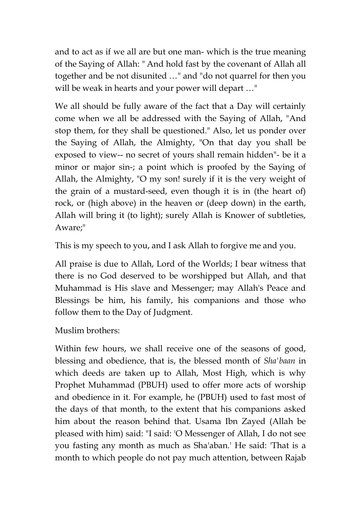and to act as if we all are but one man- which is the true meaning of the Saying of Allah: " And hold fast by the covenant of Allah all together and be not disunited …" and "do not quarrel for then you will be weak in hearts and your power will depart …"

We all should be fully aware of the fact that a Day will certainly come when we all be addressed with the Saying of Allah, "And stop them, for they shall be questioned." Also, let us ponder over the Saying of Allah, the Almighty, "On that day you shall be exposed to view-- no secret of yours shall remain hidden"- be it a minor or major sin-; a point which is proofed by the Saying of Allah, the Almighty, "O my son! surely if it is the very weight of the grain of a mustard-seed, even though it is in (the heart of) rock, or (high above) in the heaven or (deep down) in the earth, Allah will bring it (to light); surely Allah is Knower of subtleties, Aware;"

This is my speech to you, and I ask Allah to forgive me and you.

All praise is due to Allah, Lord of the Worlds; I bear witness that there is no God deserved to be worshipped but Allah, and that Muhammad is His slave and Messenger; may Allah's Peace and Blessings be him, his family, his companions and those who follow them to the Day of Judgment.

Muslim brothers:

Within few hours, we shall receive one of the seasons of good, blessing and obedience, that is, the blessed month of *Sha'baan* in which deeds are taken up to Allah, Most High, which is why Prophet Muhammad (PBUH) used to offer more acts of worship and obedience in it. For example, he (PBUH) used to fast most of the days of that month, to the extent that his companions asked him about the reason behind that. Usama Ibn Zayed (Allah be pleased with him) said: "I said: 'O Messenger of Allah, I do not see you fasting any month as much as Sha'aban.' He said: 'That is a month to which people do not pay much attention, between Rajab